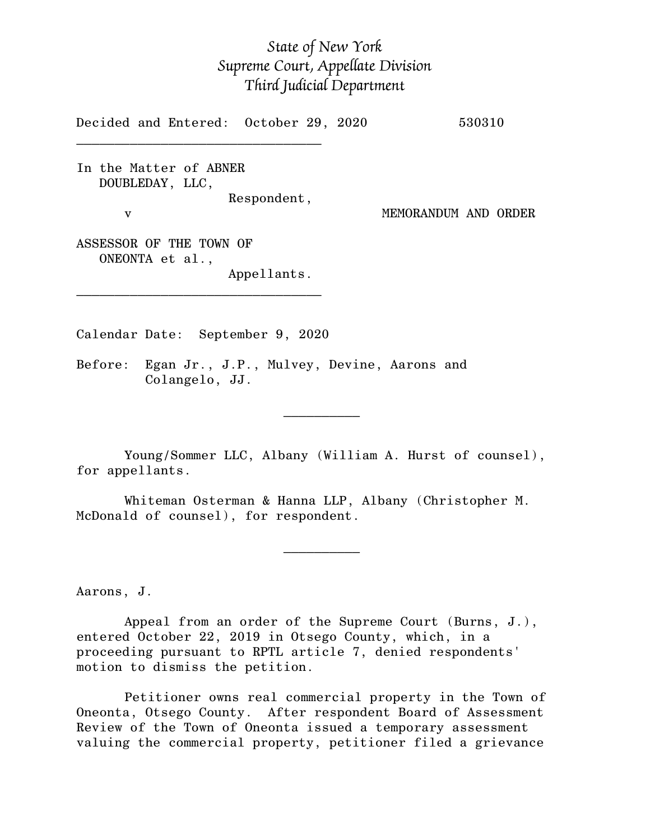## *State of New York Supreme Court, Appellate Division Third Judicial Department*

Decided and Entered: October 29, 2020 530310  $\mathcal{L}_\text{max}$ In the Matter of ABNER DOUBLEDAY, LLC, Respondent, v MEMORANDUM AND ORDER ASSESSOR OF THE TOWN OF ONEONTA et al., Appellants. \_\_\_\_\_\_\_\_\_\_\_\_\_\_\_\_\_\_\_\_\_\_\_\_\_\_\_\_\_\_\_\_

Calendar Date: September 9, 2020

 $\mathcal{L}_\text{max}$  and  $\mathcal{L}_\text{max}$  are the set of  $\mathcal{L}_\text{max}$  . The set of  $\mathcal{L}_\text{max}$ 

 $\mathcal{L}_\text{max}$  and  $\mathcal{L}_\text{max}$  are the set of  $\mathcal{L}_\text{max}$  . The set of  $\mathcal{L}_\text{max}$ 

Before: Egan Jr., J.P., Mulvey, Devine, Aarons and Colangelo, JJ.

Young/Sommer LLC, Albany (William A. Hurst of counsel), for appellants.

Whiteman Osterman & Hanna LLP, Albany (Christopher M. McDonald of counsel), for respondent.

Aarons, J.

Appeal from an order of the Supreme Court (Burns, J.), entered October 22, 2019 in Otsego County, which, in a proceeding pursuant to RPTL article 7, denied respondents' motion to dismiss the petition.

Petitioner owns real commercial property in the Town of Oneonta, Otsego County. After respondent Board of Assessment Review of the Town of Oneonta issued a temporary assessment valuing the commercial property, petitioner filed a grievance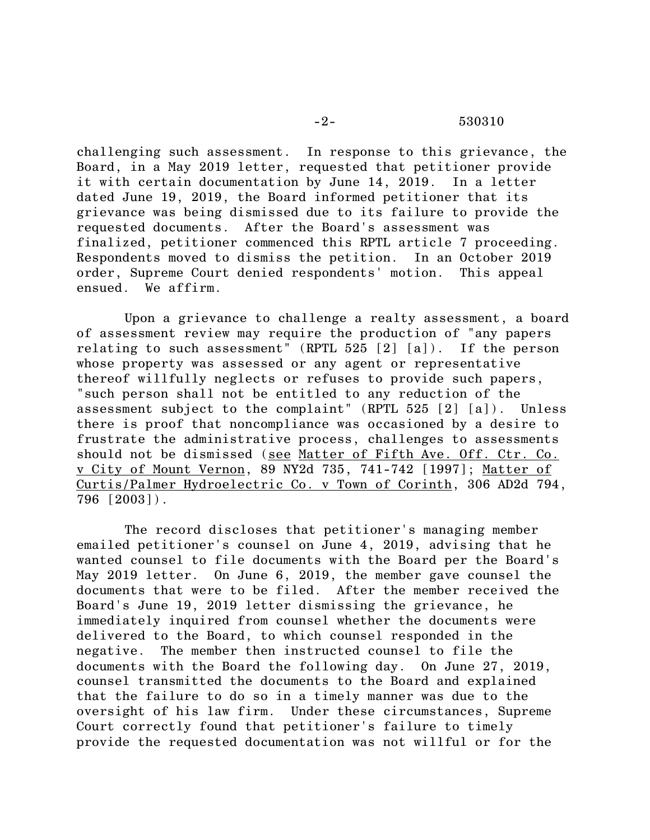challenging such assessment. In response to this grievance, the Board, in a May 2019 letter, requested that petitioner provide it with certain documentation by June 14, 2019. In a letter dated June 19, 2019, the Board informed petitioner that its grievance was being dismissed due to its failure to provide the requested documents. After the Board's assessment was finalized, petitioner commenced this RPTL article 7 proceeding. Respondents moved to dismiss the petition. In an October 2019 order, Supreme Court denied respondents' motion. This appeal ensued. We affirm.

Upon a grievance to challenge a realty assessment, a board of assessment review may require the production of "any papers relating to such assessment" (RPTL  $525$  [2] [a]). If the person whose property was assessed or any agent or representative thereof willfully neglects or refuses to provide such papers, "such person shall not be entitled to any reduction of the assessment subject to the complaint" (RPTL 525 [2] [a]). Unless there is proof that noncompliance was occasioned by a desire to frustrate the administrative process, challenges to assessments should not be dismissed (see Matter of Fifth Ave. Off. Ctr. Co. v City of Mount Vernon, 89 NY2d 735, 741-742 [1997]; Matter of Curtis/Palmer Hydroelectric Co. v Town of Corinth, 306 AD2d 794, 796 [2003]).

The record discloses that petitioner's managing member emailed petitioner's counsel on June 4, 2019, advising that he wanted counsel to file documents with the Board per the Board's May 2019 letter. On June 6, 2019, the member gave counsel the documents that were to be filed. After the member received the Board's June 19, 2019 letter dismissing the grievance, he immediately inquired from counsel whether the documents were delivered to the Board, to which counsel responded in the negative. The member then instructed counsel to file the documents with the Board the following day. On June 27, 2019, counsel transmitted the documents to the Board and explained that the failure to do so in a timely manner was due to the oversight of his law firm. Under these circumstances, Supreme Court correctly found that petitioner's failure to timely provide the requested documentation was not willful or for the